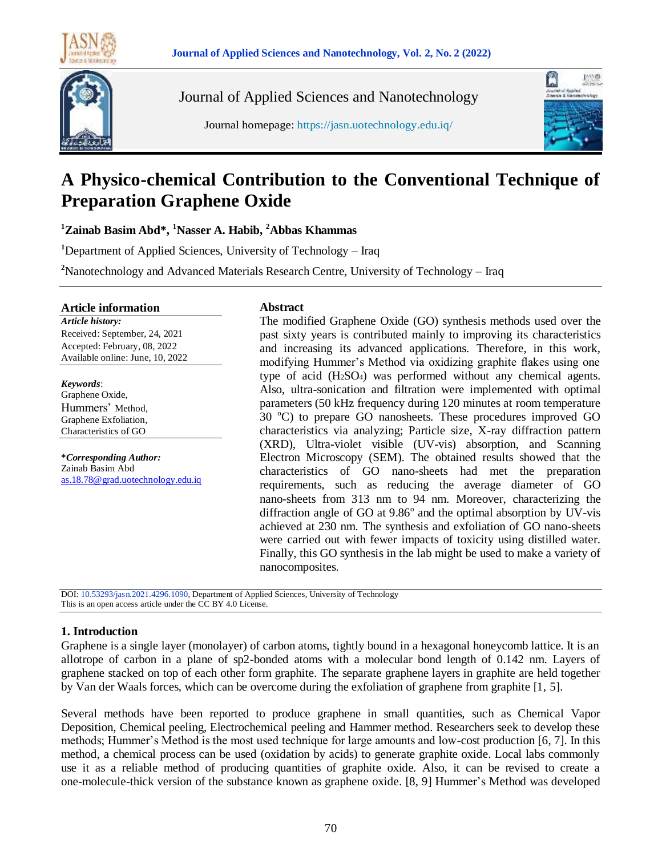



Journal of Applied Sciences and Nanotechnology





# **A Physico-chemical Contribution to the Conventional Technique of Preparation Graphene Oxide**

**<sup>1</sup>Zainab Basim Abd\*, <sup>1</sup>Nasser A. Habib, <sup>2</sup>Abbas Khammas**

**<sup>1</sup>**Department of Applied Sciences, University of Technology – Iraq

**<sup>2</sup>**Nanotechnology and Advanced Materials Research Centre, University of Technology – Iraq

#### **Article information**

*Article history:* Received: September, 24, 2021 Accepted: February, 08, 2022 Available online: June, 10, 2022

*Keywords*: Graphene Oxide, Hummers' Method, Graphene Exfoliation, Characteristics of GO

**\****Corresponding Author:* Zainab Basim Abd [as.18.78@grad.uotechnology.edu.iq](file:///C:/Users/Thaer/Downloads/zmm6201@gmail.com)

#### **Abstract**

The modified Graphene Oxide (GO) synthesis methods used over the past sixty years is contributed mainly to improving its characteristics and increasing its advanced applications. Therefore, in this work, modifying Hummer's Method via oxidizing graphite flakes using one type of acid (H2SO4) was performed without any chemical agents. Also, ultra-sonication and filtration were implemented with optimal parameters (50 kHz frequency during 120 minutes at room temperature  $30^{\circ}$ C) to prepare GO nanosheets. These procedures improved GO characteristics via analyzing; Particle size, X-ray diffraction pattern (XRD), Ultra-violet visible (UV-vis) absorption, and Scanning Electron Microscopy (SEM). The obtained results showed that the characteristics of GO nano-sheets had met the preparation requirements, such as reducing the average diameter of GO nano-sheets from 313 nm to 94 nm. Moreover, characterizing the diffraction angle of GO at  $9.86^\circ$  and the optimal absorption by UV-vis achieved at 230 nm. The synthesis and exfoliation of GO nano-sheets were carried out with fewer impacts of toxicity using distilled water. Finally, this GO synthesis in the lab might be used to make a variety of nanocomposites.

DOI: 10.53293/jasn.2021.4296.1090, Department of Applied Sciences, University of Technology This is an open access article under the CC BY 4.0 License.

# **1. Introduction**

Graphene is a single layer (monolayer) of carbon atoms, tightly bound in a hexagonal honeycomb lattice. It is an allotrope of carbon in a plane of sp2-bonded atoms with a molecular bond length of 0.142 nm. Layers of graphene stacked on top of each other form graphite. The separate graphene layers in graphite are held together by Van der Waals forces, which can be overcome during the exfoliation of graphene from graphite [1, 5].

Several methods have been reported to produce graphene in small quantities, such as Chemical Vapor Deposition, Chemical peeling, Electrochemical peeling and Hammer method. Researchers seek to develop these methods; Hummer's Method is the most used technique for large amounts and low-cost production [6, 7]. In this method, a chemical process can be used (oxidation by acids) to generate graphite oxide. Local labs commonly use it as a reliable method of producing quantities of graphite oxide. Also, it can be revised to create a one-molecule-thick version of the substance known as graphene oxide. [8, 9] Hummer's Method was developed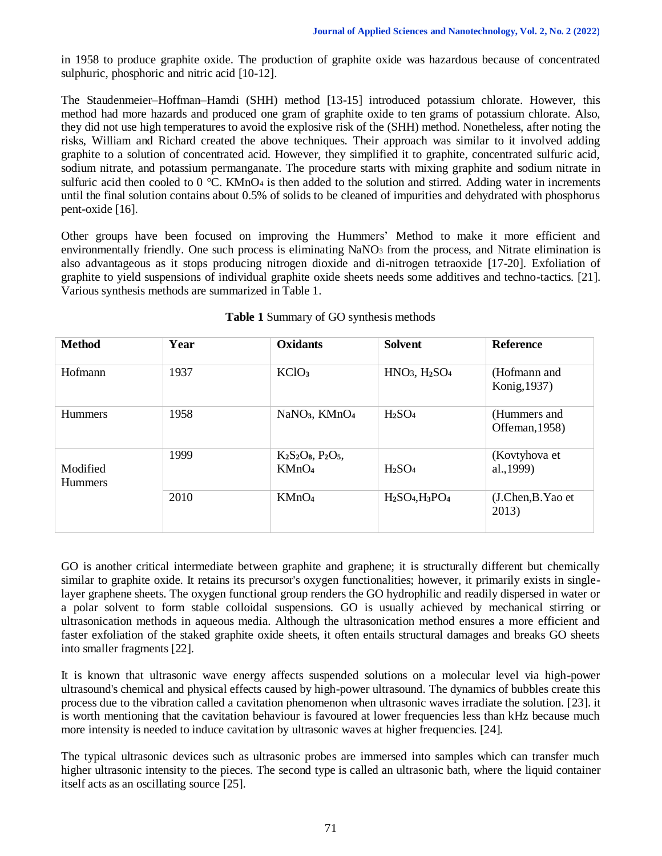in 1958 to produce graphite oxide. The production of graphite oxide was hazardous because of concentrated sulphuric, phosphoric and nitric acid [10-12].

The Staudenmeier–Hoffman–Hamdi (SHH) method [13-15] introduced potassium chlorate. However, this method had more hazards and produced one gram of graphite oxide to ten grams of potassium chlorate. Also, they did not use high temperatures to avoid the explosive risk of the (SHH) method. Nonetheless, after noting the risks, William and Richard created the above techniques. Their approach was similar to it involved adding graphite to a solution of concentrated acid. However, they simplified it to graphite, concentrated sulfuric acid, sodium nitrate, and potassium permanganate. The procedure starts with mixing graphite and sodium nitrate in sulfuric acid then cooled to  $0^{\circ}$ C. KMnO<sub>4</sub> is then added to the solution and stirred. Adding water in increments until the final solution contains about 0.5% of solids to be cleaned of impurities and dehydrated with phosphorus pent-oxide [16].

Other groups have been focused on improving the Hummers' Method to make it more efficient and environmentally friendly. One such process is eliminating NaNO<sub>3</sub> from the process, and Nitrate elimination is also advantageous as it stops producing nitrogen dioxide and di-nitrogen tetraoxide [17-20]. Exfoliation of graphite to yield suspensions of individual graphite oxide sheets needs some additives and techno-tactics. [21]. Various synthesis methods are summarized in Table 1.

| <b>Method</b>              | Year | <b>Oxidants</b>                       | Solvent                        | <b>Reference</b>               |
|----------------------------|------|---------------------------------------|--------------------------------|--------------------------------|
| Hofmann                    | 1937 | KC1O <sub>3</sub>                     | $HNO3, H2SO4$                  | (Hofmann and<br>Konig, 1937)   |
| <b>Hummers</b>             | 1958 | NaNO <sub>3</sub> , KMnO <sub>4</sub> | H <sub>2</sub> SO <sub>4</sub> | (Hummers and<br>Offeman, 1958) |
| Modified<br><b>Hummers</b> | 1999 | $K2S2O8, P2O5$<br>KMnO <sub>4</sub>   | H <sub>2</sub> SO <sub>4</sub> | (Kovtyhova et<br>al., 1999)    |
|                            | 2010 | KMnO <sub>4</sub>                     | $H2SO4,H3PO4$                  | (J.Chen,B.Yao et<br>2013)      |

# **Table 1** Summary of GO synthesis methods

GO is another critical intermediate between graphite and graphene; it is structurally different but chemically similar to graphite oxide. It retains its precursor's oxygen functionalities; however, it primarily exists in singlelayer graphene sheets. The oxygen functional group renders the GO hydrophilic and readily dispersed in water or a polar solvent to form stable colloidal suspensions. GO is usually achieved by mechanical stirring or ultrasonication methods in aqueous media. Although the ultrasonication method ensures a more efficient and faster exfoliation of the staked graphite oxide sheets, it often entails structural damages and breaks GO sheets into smaller fragments [22].

It is known that ultrasonic wave energy affects suspended solutions on a molecular level via high-power ultrasound's chemical and physical effects caused by high-power ultrasound. The dynamics of bubbles create this process due to the vibration called a cavitation phenomenon when ultrasonic waves irradiate the solution. [23]. it is worth mentioning that the cavitation behaviour is favoured at lower frequencies less than kHz because much more intensity is needed to induce cavitation by ultrasonic waves at higher frequencies. [24].

The typical ultrasonic devices such as ultrasonic probes are immersed into samples which can transfer much higher ultrasonic intensity to the pieces. The second type is called an ultrasonic bath, where the liquid container itself acts as an oscillating source [25].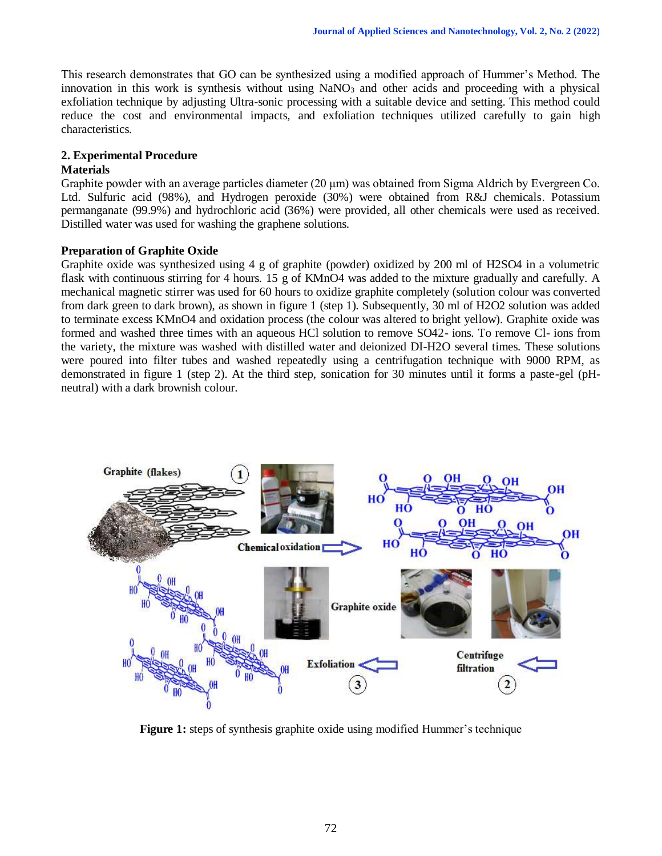This research demonstrates that GO can be synthesized using a modified approach of Hummer's Method. The innovation in this work is synthesis without using  $NaNO<sub>3</sub>$  and other acids and proceeding with a physical exfoliation technique by adjusting Ultra-sonic processing with a suitable device and setting. This method could reduce the cost and environmental impacts, and exfoliation techniques utilized carefully to gain high characteristics.

# **2. Experimental Procedure**

## **Materials**

Graphite powder with an average particles diameter (20 μm) was obtained from Sigma Aldrich by Evergreen Co. Ltd. Sulfuric acid (98%), and Hydrogen peroxide (30%) were obtained from R&J chemicals. Potassium permanganate (99.9%) and hydrochloric acid (36%) were provided, all other chemicals were used as received. Distilled water was used for washing the graphene solutions.

# **Preparation of Graphite Oxide**

Graphite oxide was synthesized using 4 g of graphite (powder) oxidized by 200 ml of H2SO4 in a volumetric flask with continuous stirring for 4 hours. 15 g of KMnO4 was added to the mixture gradually and carefully. A mechanical magnetic stirrer was used for 60 hours to oxidize graphite completely (solution colour was converted from dark green to dark brown), as shown in figure 1 (step 1). Subsequently, 30 ml of H2O2 solution was added to terminate excess KMnO4 and oxidation process (the colour was altered to bright yellow). Graphite oxide was formed and washed three times with an aqueous HCl solution to remove SO42- ions. To remove Cl- ions from the variety, the mixture was washed with distilled water and deionized DI-H2O several times. These solutions were poured into filter tubes and washed repeatedly using a centrifugation technique with 9000 RPM, as demonstrated in figure 1 (step 2). At the third step, sonication for 30 minutes until it forms a paste-gel (pHneutral) with a dark brownish colour.



**Figure 1:** steps of synthesis graphite oxide using modified Hummer's technique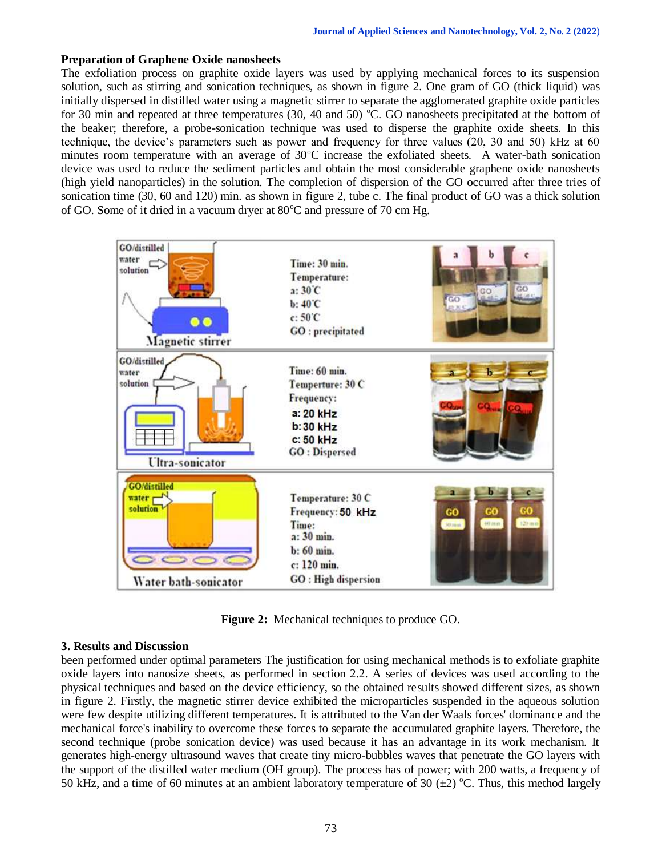#### **Preparation of Graphene Oxide nanosheets**

The exfoliation process on graphite oxide layers was used by applying mechanical forces to its suspension solution, such as stirring and sonication techniques, as shown in figure 2. One gram of GO (thick liquid) was initially dispersed in distilled water using a magnetic stirrer to separate the agglomerated graphite oxide particles for 30 min and repeated at three temperatures (30, 40 and 50)  $\degree$ C. GO nanosheets precipitated at the bottom of the beaker; therefore, a probe-sonication technique was used to disperse the graphite oxide sheets. In this technique, the device's parameters such as power and frequency for three values (20, 30 and 50) kHz at 60 minutes room temperature with an average of  $30^{\circ}$ C increase the exfoliated sheets. A water-bath sonication device was used to reduce the sediment particles and obtain the most considerable graphene oxide nanosheets (high yield nanoparticles) in the solution. The completion of dispersion of the GO occurred after three tries of sonication time (30, 60 and 120) min. as shown in figure 2, tube c. The final product of GO was a thick solution of GO. Some of it dried in a vacuum dryer at  $80^{\circ}$ C and pressure of 70 cm Hg.



**Figure 2:** Mechanical techniques to produce GO.

#### **3. Results and Discussion**

been performed under optimal parameters The justification for using mechanical methods is to exfoliate graphite oxide layers into nanosize sheets, as performed in section 2.2. A series of devices was used according to the physical techniques and based on the device efficiency, so the obtained results showed different sizes, as shown in figure 2. Firstly, the magnetic stirrer device exhibited the microparticles suspended in the aqueous solution were few despite utilizing different temperatures. It is attributed to the Van der Waals forces' dominance and the mechanical force's inability to overcome these forces to separate the accumulated graphite layers. Therefore, the second technique (probe sonication device) was used because it has an advantage in its work mechanism. It generates high-energy ultrasound waves that create tiny micro-bubbles waves that penetrate the GO layers with the support of the distilled water medium (OH group). The process has of power; with 200 watts, a frequency of 50 kHz, and a time of 60 minutes at an ambient laboratory temperature of 30  $(\pm 2)$  °C. Thus, this method largely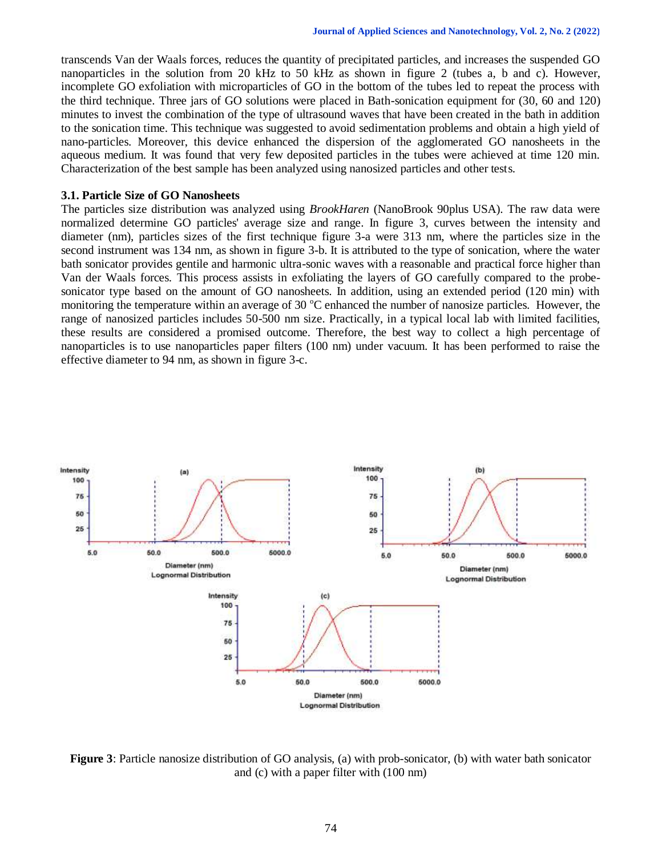transcends Van der Waals forces, reduces the quantity of precipitated particles, and increases the suspended GO nanoparticles in the solution from 20 kHz to 50 kHz as shown in figure 2 (tubes a, b and c). However, incomplete GO exfoliation with microparticles of GO in the bottom of the tubes led to repeat the process with the third technique. Three jars of GO solutions were placed in Bath-sonication equipment for (30, 60 and 120) minutes to invest the combination of the type of ultrasound waves that have been created in the bath in addition to the sonication time. This technique was suggested to avoid sedimentation problems and obtain a high yield of nano-particles. Moreover, this device enhanced the dispersion of the agglomerated GO nanosheets in the aqueous medium. It was found that very few deposited particles in the tubes were achieved at time 120 min. Characterization of the best sample has been analyzed using nanosized particles and other tests.

#### **3.1. Particle Size of GO Nanosheets**

The particles size distribution was analyzed using *BrookHaren* (NanoBrook 90plus USA). The raw data were normalized determine GO particles' average size and range. In figure 3, curves between the intensity and diameter (nm), particles sizes of the first technique figure 3-a were 313 nm, where the particles size in the second instrument was 134 nm, as shown in figure 3-b. It is attributed to the type of sonication, where the water bath sonicator provides gentile and harmonic ultra-sonic waves with a reasonable and practical force higher than Van der Waals forces. This process assists in exfoliating the layers of GO carefully compared to the probesonicator type based on the amount of GO nanosheets. In addition, using an extended period (120 min) with monitoring the temperature within an average of 30 °C enhanced the number of nanosize particles. However, the range of nanosized particles includes 50-500 nm size. Practically, in a typical local lab with limited facilities, these results are considered a promised outcome. Therefore, the best way to collect a high percentage of nanoparticles is to use nanoparticles paper filters (100 nm) under vacuum. It has been performed to raise the effective diameter to 94 nm, as shown in figure 3-c.



**Figure 3**: Particle nanosize distribution of GO analysis, (a) with prob-sonicator, (b) with water bath sonicator and (c) with a paper filter with (100 nm)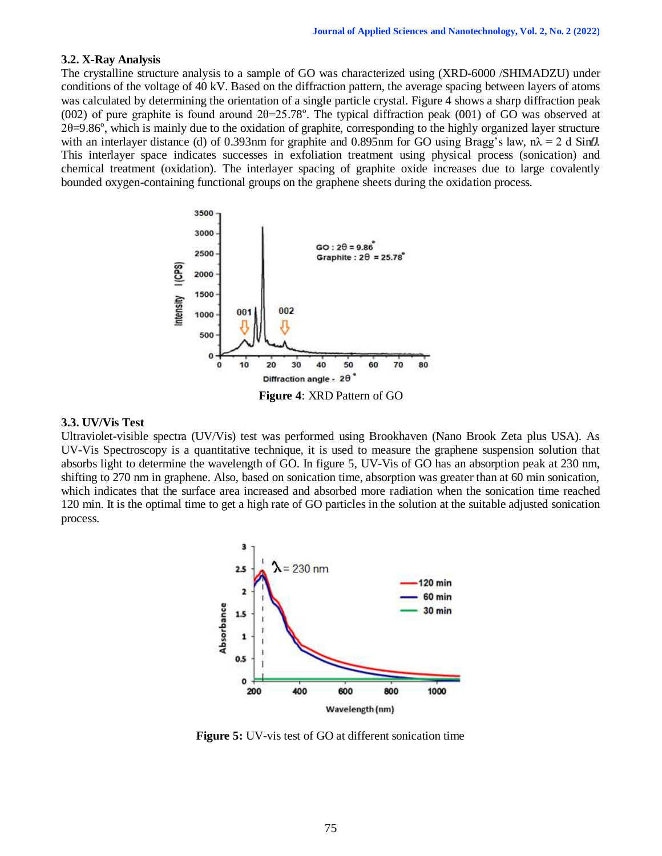#### **3.2. X-Ray Analysis**

The crystalline structure analysis to a sample of GO was characterized using (XRD-6000 /SHIMADZU) under conditions of the voltage of 40 kV. Based on the diffraction pattern, the average spacing between layers of atoms was calculated by determining the orientation of a single particle crystal. Figure 4 shows a sharp diffraction peak (002) of pure graphite is found around  $2\theta = 25.78^\circ$ . The typical diffraction peak (001) of GO was observed at  $2\theta = 9.86^\circ$ , which is mainly due to the oxidation of graphite, corresponding to the highly organized layer structure with an interlayer distance (d) of 0.393nm for graphite and 0.895nm for GO using Bragg's law,  $n\lambda = 2$  d Sint. This interlayer space indicates successes in exfoliation treatment using physical process (sonication) and chemical treatment (oxidation). The interlayer spacing of graphite oxide increases due to large covalently bounded oxygen-containing functional groups on the graphene sheets during the oxidation process.



#### **3.3. UV/Vis Test**

Ultraviolet-visible spectra (UV/Vis) test was performed using Brookhaven (Nano Brook Zeta plus USA). As UV-Vis Spectroscopy is a quantitative technique, it is used to measure the graphene suspension solution that absorbs light to determine the wavelength of GO. In figure 5, UV-Vis of GO has an absorption peak at 230 nm, shifting to 270 nm in graphene. Also, based on sonication time, absorption was greater than at 60 min sonication, which indicates that the surface area increased and absorbed more radiation when the sonication time reached 120 min. It is the optimal time to get a high rate of GO particles in the solution at the suitable adjusted sonication process.



**Figure 5:** UV-vis test of GO at different sonication time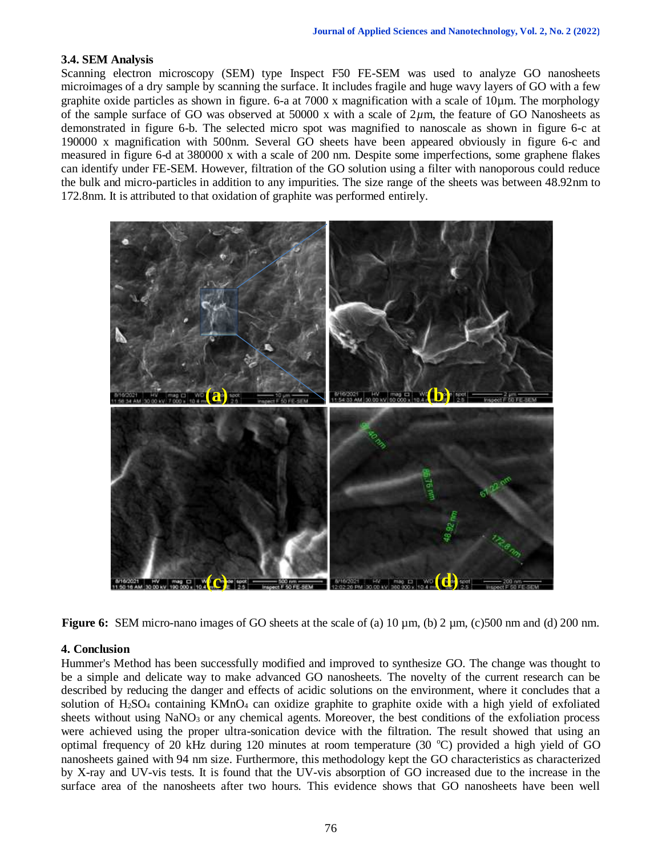# **3.4. SEM Analysis**

Scanning electron microscopy (SEM) type Inspect F50 FE-SEM was used to analyze GO nanosheets microimages of a dry sample by scanning the surface. It includes fragile and huge wavy layers of GO with a few graphite oxide particles as shown in figure. 6-a at 7000 x magnification with a scale of 10µm. The morphology of the sample surface of GO was observed at 50000 x with a scale of 2*µ*m, the feature of GO Nanosheets as demonstrated in figure 6-b. The selected micro spot was magnified to nanoscale as shown in figure 6-c at 190000 x magnification with 500nm. Several GO sheets have been appeared obviously in figure 6-c and measured in figure 6-d at 380000 x with a scale of 200 nm. Despite some imperfections, some graphene flakes can identify under FE-SEM. However, filtration of the GO solution using a filter with nanoporous could reduce the bulk and micro-particles in addition to any impurities. The size range of the sheets was between 48.92nm to 172.8nm. It is attributed to that oxidation of graphite was performed entirely.





#### **4. Conclusion**

Hummer's Method has been successfully modified and improved to synthesize GO. The change was thought to be a simple and delicate way to make advanced GO nanosheets. The novelty of the current research can be described by reducing the danger and effects of acidic solutions on the environment, where it concludes that a solution of H<sub>2</sub>SO<sub>4</sub> containing KMnO<sub>4</sub> can oxidize graphite to graphite oxide with a high yield of exfoliated sheets without using NaNO<sub>3</sub> or any chemical agents. Moreover, the best conditions of the exfoliation process were achieved using the proper ultra-sonication device with the filtration. The result showed that using an optimal frequency of 20 kHz during 120 minutes at room temperature (30  $^{\circ}$ C) provided a high yield of GO nanosheets gained with 94 nm size. Furthermore, this methodology kept the GO characteristics as characterized by X-ray and UV-vis tests. It is found that the UV-vis absorption of GO increased due to the increase in the surface area of the nanosheets after two hours. This evidence shows that GO nanosheets have been well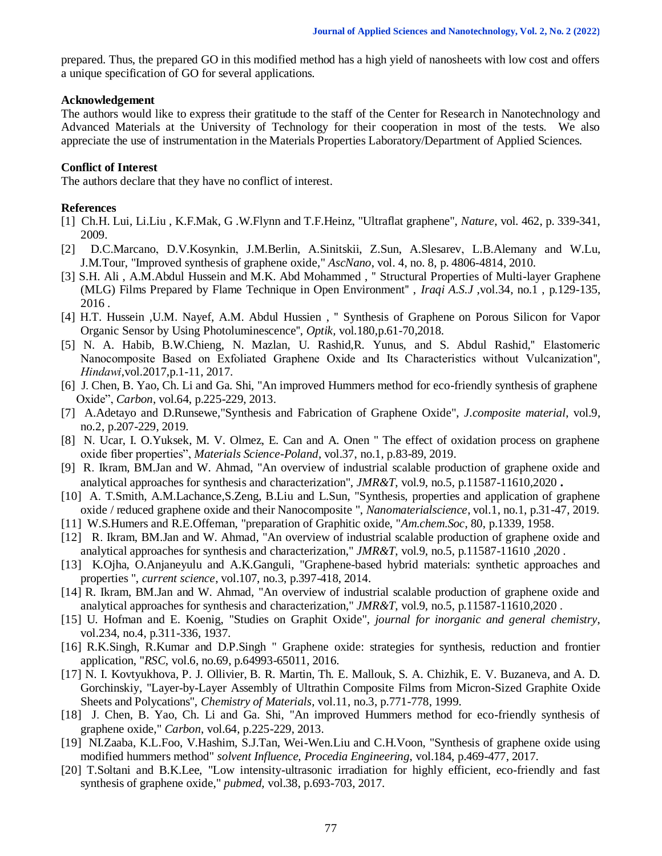prepared. Thus, the prepared GO in this modified method has a high yield of nanosheets with low cost and offers a unique specification of GO for several applications.

#### **Acknowledgement**

The authors would like to express their gratitude to the staff of the Center for Research in Nanotechnology and Advanced Materials at the University of Technology for their cooperation in most of the tests. We also appreciate the use of instrumentation in the Materials Properties Laboratory/Department of Applied Sciences.

# **Conflict of Interest**

The authors declare that they have no conflict of interest.

# **References**

- [1] Ch.H. Lui, Li.Liu , K.F.Mak, G .W.Flynn and T.F.Heinz, "Ultraflat graphene", *Nature*, vol. 462, p. 339-341, 2009.
- [2] D.C.Marcano, D.V.Kosynkin, J.M.Berlin, A.Sinitskii, Z.Sun, A.Slesarev, L.B.Alemany and W.Lu, J.M.Tour, "Improved synthesis of graphene oxide," *AscNano*, vol. 4, no. 8, p. 4806-4814, 2010.
- [3] S.H. Ali , A.M.Abdul Hussein and M.K. Abd Mohammed , '' Structural Properties of Multi-layer Graphene (MLG) Films Prepared by Flame Technique in Open Environment'' , *Iraqi A.S.J* ,vol.34, no.1 , p.129-135, 2016 .
- [4] H.T. Hussein ,U.M. Nayef, A.M. Abdul Hussien , '' Synthesis of Graphene on Porous Silicon for Vapor Organic Sensor by Using Photoluminescence'', *Optik,* vol.180,p.61-70,2018.
- [5] N. A. Habib, B.W.Chieng, N. Mazlan, U. Rashid,R. Yunus, and S. Abdul Rashid,'' Elastomeric Nanocomposite Based on Exfoliated Graphene Oxide and Its Characteristics without Vulcanization'', *Hindawi*,vol.2017,p.1-11, 2017.
- [6] J. Chen, B. Yao, Ch. Li and Ga. Shi, "An improved Hummers method for eco-friendly synthesis of graphene Oxide", *Carbon*, vol.64, p.225-229, 2013.
- [7] A.Adetayo and D.Runsewe,"Synthesis and Fabrication of Graphene Oxide", *J.composite material*, vol.9, no.2, p.207-229, 2019.
- [8] N. Ucar, I. O.Yuksek, M. V. Olmez, E. Can and A. Onen " The effect of oxidation process on graphene oxide fiber properties", *Materials Science-Poland*, vol.37, no.1, p.83-89, 2019.
- [9] R. Ikram, BM.Jan and W. Ahmad, "An overview of industrial scalable production of graphene oxide and analytical approaches for synthesis and characterization", *JMR&T*, vol.9, no.5, p.11587-11610,2020 **.**
- [10] A. T.Smith, A.M.Lachance, S.Zeng, B.Liu and L.Sun, "Synthesis, properties and application of graphene oxide / reduced graphene oxide and their Nanocomposite ", *Nanomaterialscience*, vol.1, no.1, p.31-47, 2019.
- [11] W.S.Humers and R.E.Offeman, "preparation of Graphitic oxide, "*Am.chem.Soc*, 80, p.1339, 1958.
- [12] R. Ikram, BM.Jan and W. Ahmad, "An overview of industrial scalable production of graphene oxide and analytical approaches for synthesis and characterization," *JMR&T*, vol.9, no.5, p.11587-11610 ,2020 .
- [13] K.Ojha, O.Anjaneyulu and A.K.Ganguli, "Graphene-based hybrid materials: synthetic approaches and properties ", *current science*, vol.107, no.3, p.397-418, 2014.
- [14] R. Ikram, BM.Jan and W. Ahmad, "An overview of industrial scalable production of graphene oxide and analytical approaches for synthesis and characterization," *JMR&T*, vol.9, no.5, p.11587-11610,2020 .
- [15] U. Hofman and E. Koenig, "Studies on Graphit Oxide", *journal for inorganic and general chemistry*, vol.234, no.4, p.311-336, 1937.
- [16] R.K.Singh, R.Kumar and D.P.Singh " Graphene oxide: strategies for synthesis, reduction and frontier application, "*RSC*, vol.6, no.69, p.64993-65011, 2016.
- [17] N. I. Kovtyukhova, P. J. Ollivier, B. R. Martin, Th. E. Mallouk, S. A. Chizhik, E. V. Buzaneva, and A. D. Gorchinskiy, "Layer-by-Layer Assembly of Ultrathin Composite Films from Micron-Sized Graphite Oxide Sheets and Polycations", *Chemistry of Materials*, vol.11, no.3, p.771-778, 1999.
- [18] J. Chen, B. Yao, Ch. Li and Ga. Shi, "An improved Hummers method for eco-friendly synthesis of graphene oxide," *Carbon*, vol.64, p.225-229, 2013.
- [19] NI.Zaaba, K.L.Foo, V.Hashim, S.J.Tan, Wei-Wen.Liu and C.H.Voon, "Synthesis of graphene oxide using modified hummers method" *solvent Influence, Procedia Engineering*, vol.184, p.469-477, 2017.
- [20] T.Soltani and B.K.Lee, "Low intensity-ultrasonic irradiation for highly efficient, eco-friendly and fast synthesis of graphene oxide," *pubmed,* vol.38, p.693-703, 2017.